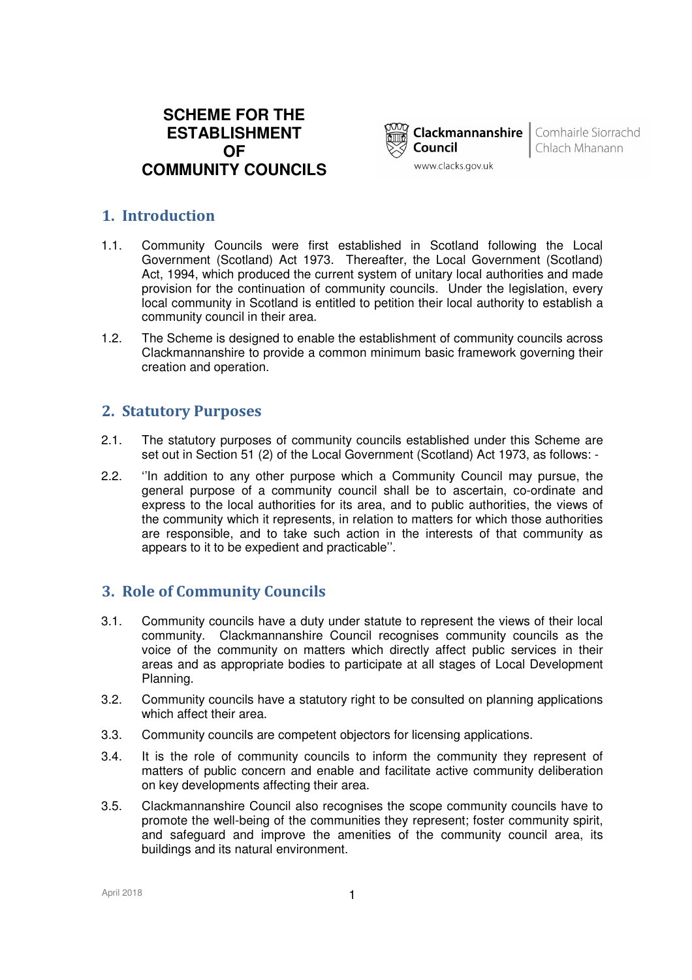# **SCHEME FOR THE ESTABLISHMENT OF COMMUNITY COUNCILS**



**Clackmannanshire** | Comhairle Siorrachd Chlach Mhanann

# **1. Introduction**

- 1.1. Community Councils were first established in Scotland following the Local Government (Scotland) Act 1973. Thereafter, the Local Government (Scotland) Act, 1994, which produced the current system of unitary local authorities and made provision for the continuation of community councils. Under the legislation, every local community in Scotland is entitled to petition their local authority to establish a community council in their area.
- 1.2. The Scheme is designed to enable the establishment of community councils across Clackmannanshire to provide a common minimum basic framework governing their creation and operation.

# **2. Statutory Purposes**

- 2.1. The statutory purposes of community councils established under this Scheme are set out in Section 51 (2) of the Local Government (Scotland) Act 1973, as follows: -
- 2.2. ''In addition to any other purpose which a Community Council may pursue, the general purpose of a community council shall be to ascertain, co-ordinate and express to the local authorities for its area, and to public authorities, the views of the community which it represents, in relation to matters for which those authorities are responsible, and to take such action in the interests of that community as appears to it to be expedient and practicable''.

# **3. Role of Community Councils**

- 3.1. Community councils have a duty under statute to represent the views of their local community. Clackmannanshire Council recognises community councils as the voice of the community on matters which directly affect public services in their areas and as appropriate bodies to participate at all stages of Local Development Planning.
- 3.2. Community councils have a statutory right to be consulted on planning applications which affect their area.
- 3.3. Community councils are competent objectors for licensing applications.
- 3.4. It is the role of community councils to inform the community they represent of matters of public concern and enable and facilitate active community deliberation on key developments affecting their area.
- 3.5. Clackmannanshire Council also recognises the scope community councils have to promote the well-being of the communities they represent; foster community spirit, and safeguard and improve the amenities of the community council area, its buildings and its natural environment.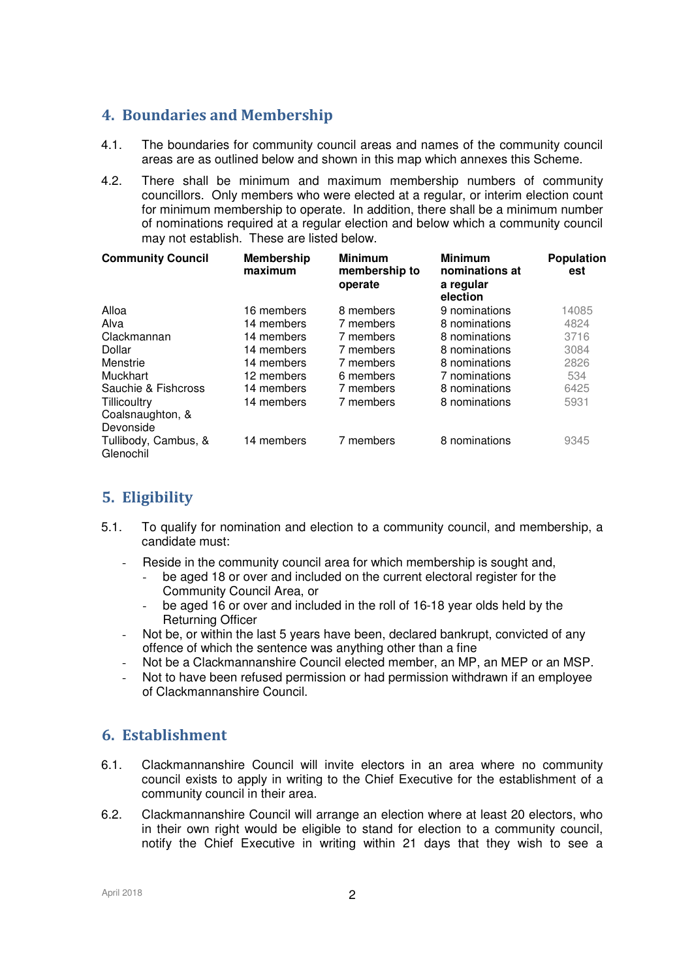# **4. Boundaries and Membership**

- 4.1. The boundaries for community council areas and names of the community council areas are as outlined below and shown in this map which annexes this Scheme.
- 4.2. There shall be minimum and maximum membership numbers of community councillors. Only members who were elected at a regular, or interim election count for minimum membership to operate. In addition, there shall be a minimum number of nominations required at a regular election and below which a community council may not establish. These are listed below.

| <b>Community Council</b>                      | <b>Membership</b><br>maximum | <b>Minimum</b><br>membership to<br>operate | <b>Minimum</b><br>nominations at<br>a regular<br>election | <b>Population</b><br>est |
|-----------------------------------------------|------------------------------|--------------------------------------------|-----------------------------------------------------------|--------------------------|
| Alloa                                         | 16 members                   | 8 members                                  | 9 nominations                                             | 14085                    |
| Alva                                          | 14 members                   | 7 members                                  | 8 nominations                                             | 4824                     |
| Clackmannan                                   | 14 members                   | 7 members                                  | 8 nominations                                             | 3716                     |
| Dollar                                        | 14 members                   | 7 members                                  | 8 nominations                                             | 3084                     |
| Menstrie                                      | 14 members                   | 7 members                                  | 8 nominations                                             | 2826                     |
| <b>Muckhart</b>                               | 12 members                   | 6 members                                  | 7 nominations                                             | 534                      |
| Sauchie & Fishcross                           | 14 members                   | 7 members                                  | 8 nominations                                             | 6425                     |
| Tillicoultry<br>Coalsnaughton, &<br>Devonside | 14 members                   | 7 members                                  | 8 nominations                                             | 5931                     |
| Tullibody, Cambus, &<br>Glenochil             | 14 members                   | 7 members                                  | 8 nominations                                             | 9345                     |

# **5. Eligibility**

- 5.1. To qualify for nomination and election to a community council, and membership, a candidate must:
	- Reside in the community council area for which membership is sought and,
		- be aged 18 or over and included on the current electoral register for the Community Council Area, or
		- be aged 16 or over and included in the roll of 16-18 year olds held by the Returning Officer
	- Not be, or within the last 5 years have been, declared bankrupt, convicted of any offence of which the sentence was anything other than a fine
	- Not be a Clackmannanshire Council elected member, an MP, an MEP or an MSP.
	- Not to have been refused permission or had permission withdrawn if an employee of Clackmannanshire Council.

# **6. Establishment**

- 6.1. Clackmannanshire Council will invite electors in an area where no community council exists to apply in writing to the Chief Executive for the establishment of a community council in their area.
- 6.2. Clackmannanshire Council will arrange an election where at least 20 electors, who in their own right would be eligible to stand for election to a community council, notify the Chief Executive in writing within 21 days that they wish to see a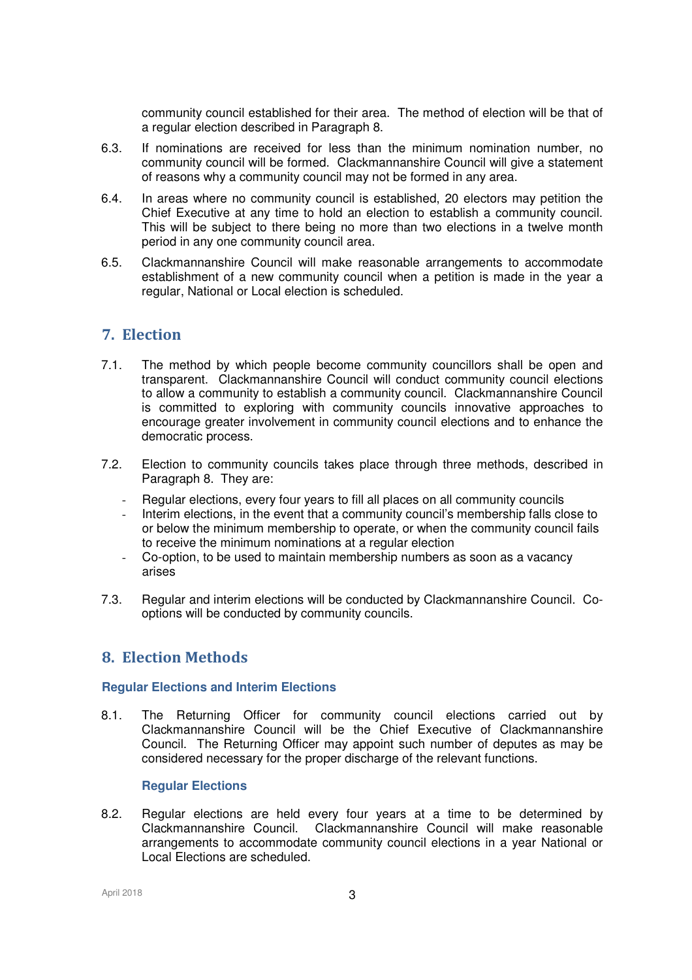community council established for their area. The method of election will be that of a regular election described in Paragraph 8.

- 6.3. If nominations are received for less than the minimum nomination number, no community council will be formed. Clackmannanshire Council will give a statement of reasons why a community council may not be formed in any area.
- 6.4. In areas where no community council is established, 20 electors may petition the Chief Executive at any time to hold an election to establish a community council. This will be subject to there being no more than two elections in a twelve month period in any one community council area.
- 6.5. Clackmannanshire Council will make reasonable arrangements to accommodate establishment of a new community council when a petition is made in the year a regular, National or Local election is scheduled.

# **7. Election**

- 7.1. The method by which people become community councillors shall be open and transparent. Clackmannanshire Council will conduct community council elections to allow a community to establish a community council. Clackmannanshire Council is committed to exploring with community councils innovative approaches to encourage greater involvement in community council elections and to enhance the democratic process.
- 7.2. Election to community councils takes place through three methods, described in Paragraph 8. They are:
	- Regular elections, every four years to fill all places on all community councils
	- Interim elections, in the event that a community council's membership falls close to or below the minimum membership to operate, or when the community council fails to receive the minimum nominations at a regular election
	- Co-option, to be used to maintain membership numbers as soon as a vacancy arises
- 7.3. Regular and interim elections will be conducted by Clackmannanshire Council. Cooptions will be conducted by community councils.

# **8. Election Methods**

### **Regular Elections and Interim Elections**

8.1. The Returning Officer for community council elections carried out by Clackmannanshire Council will be the Chief Executive of Clackmannanshire Council. The Returning Officer may appoint such number of deputes as may be considered necessary for the proper discharge of the relevant functions.

### **Regular Elections**

8.2. Regular elections are held every four years at a time to be determined by Clackmannanshire Council. Clackmannanshire Council will make reasonable arrangements to accommodate community council elections in a year National or Local Elections are scheduled.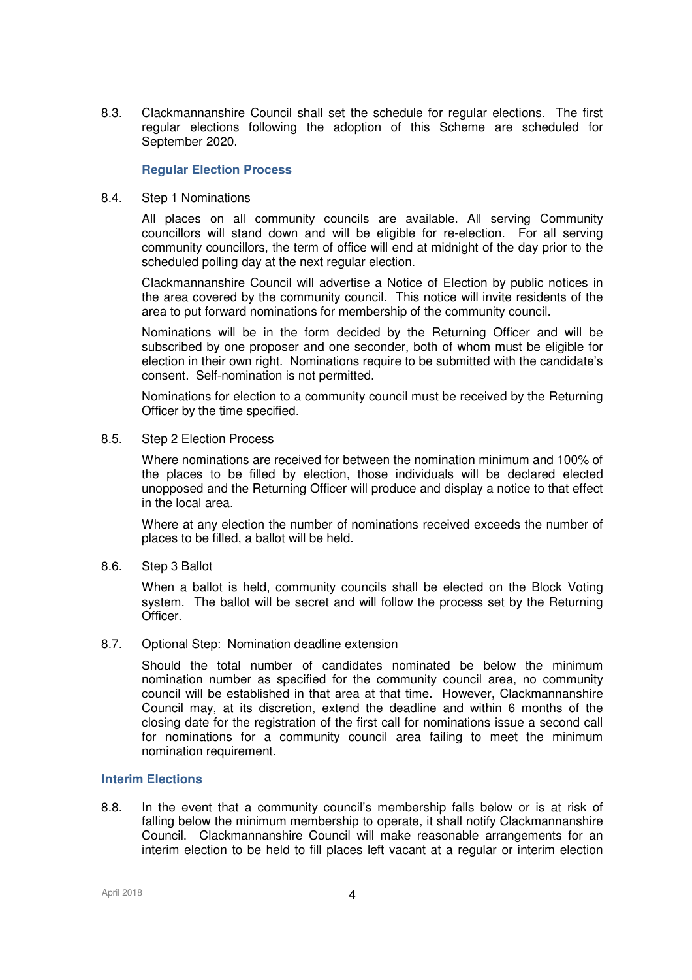8.3. Clackmannanshire Council shall set the schedule for regular elections. The first regular elections following the adoption of this Scheme are scheduled for September 2020.

### **Regular Election Process**

8.4. Step 1 Nominations

All places on all community councils are available. All serving Community councillors will stand down and will be eligible for re-election. For all serving community councillors, the term of office will end at midnight of the day prior to the scheduled polling day at the next regular election.

Clackmannanshire Council will advertise a Notice of Election by public notices in the area covered by the community council. This notice will invite residents of the area to put forward nominations for membership of the community council.

Nominations will be in the form decided by the Returning Officer and will be subscribed by one proposer and one seconder, both of whom must be eligible for election in their own right. Nominations require to be submitted with the candidate's consent. Self-nomination is not permitted.

Nominations for election to a community council must be received by the Returning Officer by the time specified.

8.5. Step 2 Election Process

Where nominations are received for between the nomination minimum and 100% of the places to be filled by election, those individuals will be declared elected unopposed and the Returning Officer will produce and display a notice to that effect in the local area.

Where at any election the number of nominations received exceeds the number of places to be filled, a ballot will be held.

8.6. Step 3 Ballot

When a ballot is held, community councils shall be elected on the Block Voting system. The ballot will be secret and will follow the process set by the Returning Officer.

8.7. Optional Step: Nomination deadline extension

Should the total number of candidates nominated be below the minimum nomination number as specified for the community council area, no community council will be established in that area at that time. However, Clackmannanshire Council may, at its discretion, extend the deadline and within 6 months of the closing date for the registration of the first call for nominations issue a second call for nominations for a community council area failing to meet the minimum nomination requirement.

## **Interim Elections**

8.8. In the event that a community council's membership falls below or is at risk of falling below the minimum membership to operate, it shall notify Clackmannanshire Council. Clackmannanshire Council will make reasonable arrangements for an interim election to be held to fill places left vacant at a regular or interim election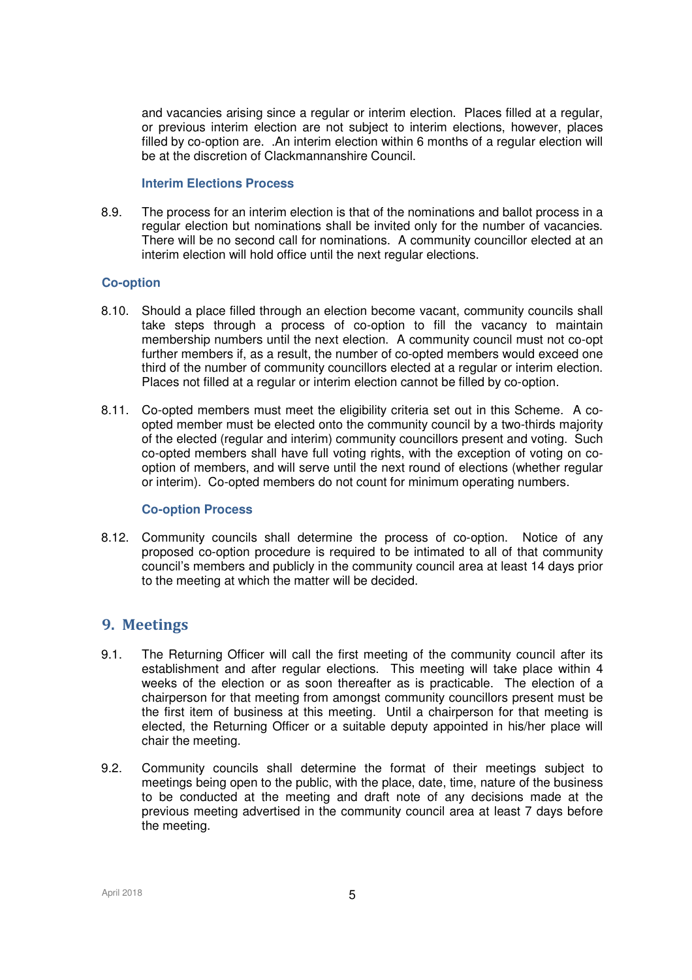and vacancies arising since a regular or interim election. Places filled at a regular, or previous interim election are not subject to interim elections, however, places filled by co-option are. .An interim election within 6 months of a regular election will be at the discretion of Clackmannanshire Council.

### **Interim Elections Process**

8.9. The process for an interim election is that of the nominations and ballot process in a regular election but nominations shall be invited only for the number of vacancies. There will be no second call for nominations. A community councillor elected at an interim election will hold office until the next regular elections.

## **Co-option**

- 8.10. Should a place filled through an election become vacant, community councils shall take steps through a process of co-option to fill the vacancy to maintain membership numbers until the next election. A community council must not co-opt further members if, as a result, the number of co-opted members would exceed one third of the number of community councillors elected at a regular or interim election. Places not filled at a regular or interim election cannot be filled by co-option.
- 8.11. Co-opted members must meet the eligibility criteria set out in this Scheme. A coopted member must be elected onto the community council by a two-thirds majority of the elected (regular and interim) community councillors present and voting. Such co-opted members shall have full voting rights, with the exception of voting on cooption of members, and will serve until the next round of elections (whether regular or interim). Co-opted members do not count for minimum operating numbers.

### **Co-option Process**

8.12. Community councils shall determine the process of co-option. Notice of any proposed co-option procedure is required to be intimated to all of that community council's members and publicly in the community council area at least 14 days prior to the meeting at which the matter will be decided.

## **9. Meetings**

- 9.1. The Returning Officer will call the first meeting of the community council after its establishment and after regular elections. This meeting will take place within 4 weeks of the election or as soon thereafter as is practicable. The election of a chairperson for that meeting from amongst community councillors present must be the first item of business at this meeting. Until a chairperson for that meeting is elected, the Returning Officer or a suitable deputy appointed in his/her place will chair the meeting.
- 9.2. Community councils shall determine the format of their meetings subject to meetings being open to the public, with the place, date, time, nature of the business to be conducted at the meeting and draft note of any decisions made at the previous meeting advertised in the community council area at least 7 days before the meeting.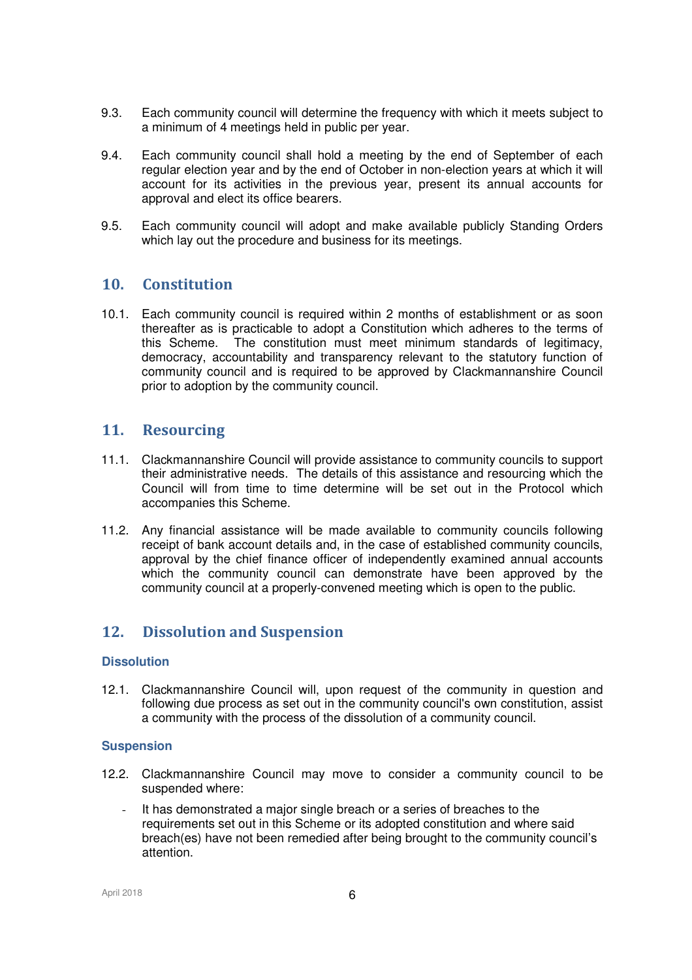- 9.3. Each community council will determine the frequency with which it meets subject to a minimum of 4 meetings held in public per year.
- 9.4. Each community council shall hold a meeting by the end of September of each regular election year and by the end of October in non-election years at which it will account for its activities in the previous year, present its annual accounts for approval and elect its office bearers.
- 9.5. Each community council will adopt and make available publicly Standing Orders which lay out the procedure and business for its meetings.

## **10. Constitution**

10.1. Each community council is required within 2 months of establishment or as soon thereafter as is practicable to adopt a Constitution which adheres to the terms of this Scheme. The constitution must meet minimum standards of legitimacy, democracy, accountability and transparency relevant to the statutory function of community council and is required to be approved by Clackmannanshire Council prior to adoption by the community council.

## **11. Resourcing**

- 11.1. Clackmannanshire Council will provide assistance to community councils to support their administrative needs. The details of this assistance and resourcing which the Council will from time to time determine will be set out in the Protocol which accompanies this Scheme.
- 11.2. Any financial assistance will be made available to community councils following receipt of bank account details and, in the case of established community councils, approval by the chief finance officer of independently examined annual accounts which the community council can demonstrate have been approved by the community council at a properly-convened meeting which is open to the public.

# **12. Dissolution and Suspension**

### **Dissolution**

12.1. Clackmannanshire Council will, upon request of the community in question and following due process as set out in the community council's own constitution, assist a community with the process of the dissolution of a community council.

### **Suspension**

- 12.2. Clackmannanshire Council may move to consider a community council to be suspended where:
	- It has demonstrated a major single breach or a series of breaches to the requirements set out in this Scheme or its adopted constitution and where said breach(es) have not been remedied after being brought to the community council's attention.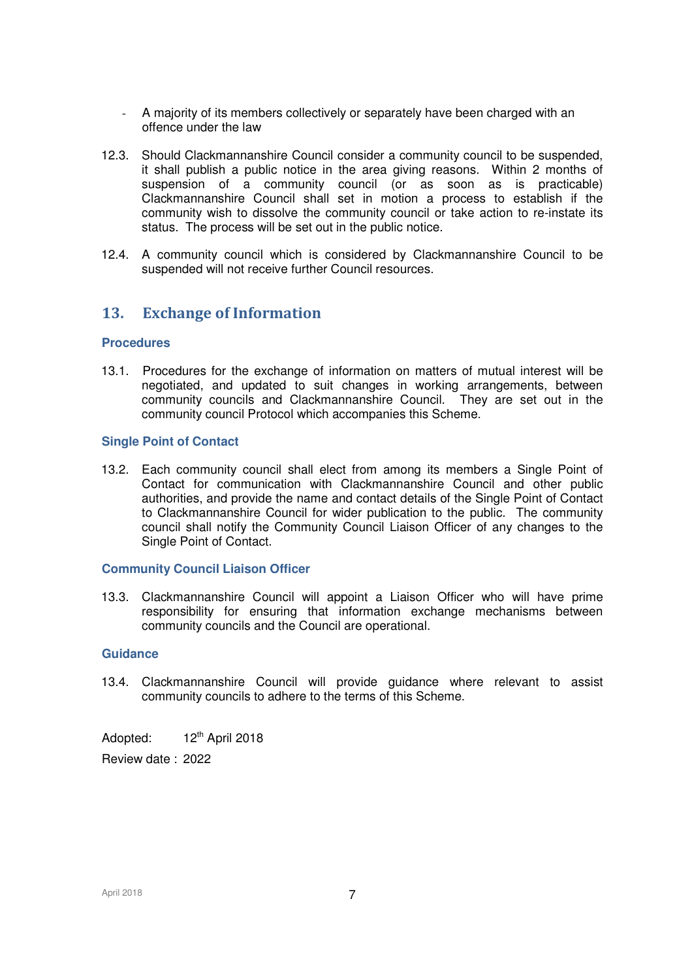- A majority of its members collectively or separately have been charged with an offence under the law
- 12.3. Should Clackmannanshire Council consider a community council to be suspended, it shall publish a public notice in the area giving reasons. Within 2 months of suspension of a community council (or as soon as is practicable) Clackmannanshire Council shall set in motion a process to establish if the community wish to dissolve the community council or take action to re-instate its status. The process will be set out in the public notice.
- 12.4. A community council which is considered by Clackmannanshire Council to be suspended will not receive further Council resources.

# **13. Exchange of Information**

### **Procedures**

13.1. Procedures for the exchange of information on matters of mutual interest will be negotiated, and updated to suit changes in working arrangements, between community councils and Clackmannanshire Council. They are set out in the community council Protocol which accompanies this Scheme.

### **Single Point of Contact**

13.2. Each community council shall elect from among its members a Single Point of Contact for communication with Clackmannanshire Council and other public authorities, and provide the name and contact details of the Single Point of Contact to Clackmannanshire Council for wider publication to the public. The community council shall notify the Community Council Liaison Officer of any changes to the Single Point of Contact.

#### **Community Council Liaison Officer**

13.3. Clackmannanshire Council will appoint a Liaison Officer who will have prime responsibility for ensuring that information exchange mechanisms between community councils and the Council are operational.

#### **Guidance**

13.4. Clackmannanshire Council will provide guidance where relevant to assist community councils to adhere to the terms of this Scheme.

Adopted:  $12<sup>th</sup>$  April 2018

Review date : 2022